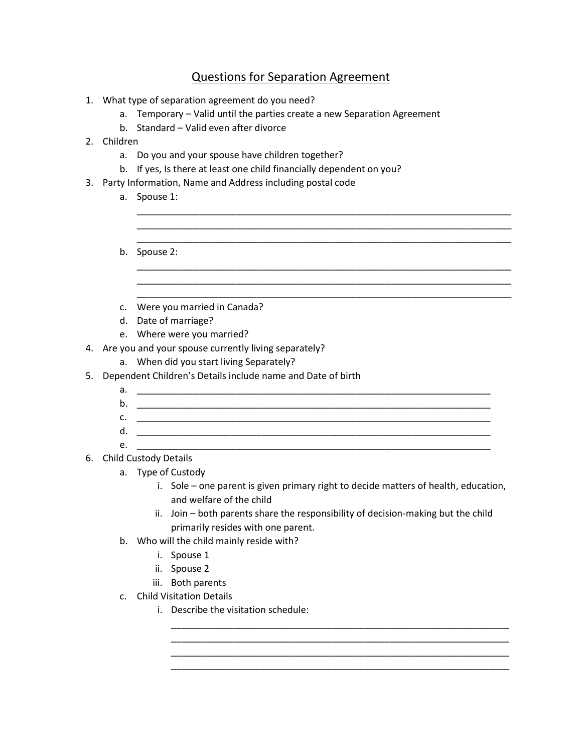## Questions for Separation Agreement

\_\_\_\_\_\_\_\_\_\_\_\_\_\_\_\_\_\_\_\_\_\_\_\_\_\_\_\_\_\_\_\_\_\_\_\_\_\_\_\_\_\_\_\_\_\_\_\_\_\_\_\_\_\_\_\_\_\_\_\_\_\_\_\_\_\_\_\_\_\_\_\_ \_\_\_\_\_\_\_\_\_\_\_\_\_\_\_\_\_\_\_\_\_\_\_\_\_\_\_\_\_\_\_\_\_\_\_\_\_\_\_\_\_\_\_\_\_\_\_\_\_\_\_\_\_\_\_\_\_\_\_\_\_\_\_\_\_\_\_\_\_\_\_\_ \_\_\_\_\_\_\_\_\_\_\_\_\_\_\_\_\_\_\_\_\_\_\_\_\_\_\_\_\_\_\_\_\_\_\_\_\_\_\_\_\_\_\_\_\_\_\_\_\_\_\_\_\_\_\_\_\_\_\_\_\_\_\_\_\_\_\_\_\_\_\_\_

\_\_\_\_\_\_\_\_\_\_\_\_\_\_\_\_\_\_\_\_\_\_\_\_\_\_\_\_\_\_\_\_\_\_\_\_\_\_\_\_\_\_\_\_\_\_\_\_\_\_\_\_\_\_\_\_\_\_\_\_\_\_\_\_\_\_\_\_\_\_\_\_ \_\_\_\_\_\_\_\_\_\_\_\_\_\_\_\_\_\_\_\_\_\_\_\_\_\_\_\_\_\_\_\_\_\_\_\_\_\_\_\_\_\_\_\_\_\_\_\_\_\_\_\_\_\_\_\_\_\_\_\_\_\_\_\_\_\_\_\_\_\_\_\_ \_\_\_\_\_\_\_\_\_\_\_\_\_\_\_\_\_\_\_\_\_\_\_\_\_\_\_\_\_\_\_\_\_\_\_\_\_\_\_\_\_\_\_\_\_\_\_\_\_\_\_\_\_\_\_\_\_\_\_\_\_\_\_\_\_\_\_\_\_\_\_\_

- 1. What type of separation agreement do you need?
	- a. Temporary Valid until the parties create a new Separation Agreement
	- b. Standard Valid even after divorce
- 2. Children
	- a. Do you and your spouse have children together?
	- b. If yes, Is there at least one child financially dependent on you?
- 3. Party Information, Name and Address including postal code
	- a. Spouse 1:
	- b. Spouse 2:
	- c. Were you married in Canada?
	- d. Date of marriage?
	- e. Where were you married?
- 4. Are you and your spouse currently living separately?
	- a. When did you start living Separately?
- 5. Dependent Children's Details include name and Date of birth
	- a. \_\_\_\_\_\_\_\_\_\_\_\_\_\_\_\_\_\_\_\_\_\_\_\_\_\_\_\_\_\_\_\_\_\_\_\_\_\_\_\_\_\_\_\_\_\_\_\_\_\_\_\_\_\_\_\_\_\_\_\_\_\_\_\_\_\_\_\_
	- b. \_\_\_\_\_\_\_\_\_\_\_\_\_\_\_\_\_\_\_\_\_\_\_\_\_\_\_\_\_\_\_\_\_\_\_\_\_\_\_\_\_\_\_\_\_\_\_\_\_\_\_\_\_\_\_\_\_\_\_\_\_\_\_\_\_\_\_\_
	- $c.$   $\Box$
	- d. \_\_\_\_\_\_\_\_\_\_\_\_\_\_\_\_\_\_\_\_\_\_\_\_\_\_\_\_\_\_\_\_\_\_\_\_\_\_\_\_\_\_\_\_\_\_\_\_\_\_\_\_\_\_\_\_\_\_\_\_\_\_\_\_\_\_\_\_
	- e. \_\_\_\_\_\_\_\_\_\_\_\_\_\_\_\_\_\_\_\_\_\_\_\_\_\_\_\_\_\_\_\_\_\_\_\_\_\_\_\_\_\_\_\_\_\_\_\_\_\_\_\_\_\_\_\_\_\_\_\_\_\_\_\_\_\_\_\_
- 6. Child Custody Details
	- a. Type of Custody
		- i. Sole one parent is given primary right to decide matters of health, education, and welfare of the child

\_\_\_\_\_\_\_\_\_\_\_\_\_\_\_\_\_\_\_\_\_\_\_\_\_\_\_\_\_\_\_\_\_\_\_\_\_\_\_\_\_\_\_\_\_\_\_\_\_\_\_\_\_\_\_\_\_\_\_\_\_\_\_\_\_ \_\_\_\_\_\_\_\_\_\_\_\_\_\_\_\_\_\_\_\_\_\_\_\_\_\_\_\_\_\_\_\_\_\_\_\_\_\_\_\_\_\_\_\_\_\_\_\_\_\_\_\_\_\_\_\_\_\_\_\_\_\_\_\_\_ \_\_\_\_\_\_\_\_\_\_\_\_\_\_\_\_\_\_\_\_\_\_\_\_\_\_\_\_\_\_\_\_\_\_\_\_\_\_\_\_\_\_\_\_\_\_\_\_\_\_\_\_\_\_\_\_\_\_\_\_\_\_\_\_\_ \_\_\_\_\_\_\_\_\_\_\_\_\_\_\_\_\_\_\_\_\_\_\_\_\_\_\_\_\_\_\_\_\_\_\_\_\_\_\_\_\_\_\_\_\_\_\_\_\_\_\_\_\_\_\_\_\_\_\_\_\_\_\_\_\_

- ii. Join both parents share the responsibility of decision-making but the child primarily resides with one parent.
- b. Who will the child mainly reside with?
	- i. Spouse 1
	- ii. Spouse 2
	- iii. Both parents
- c. Child Visitation Details
	- i. Describe the visitation schedule: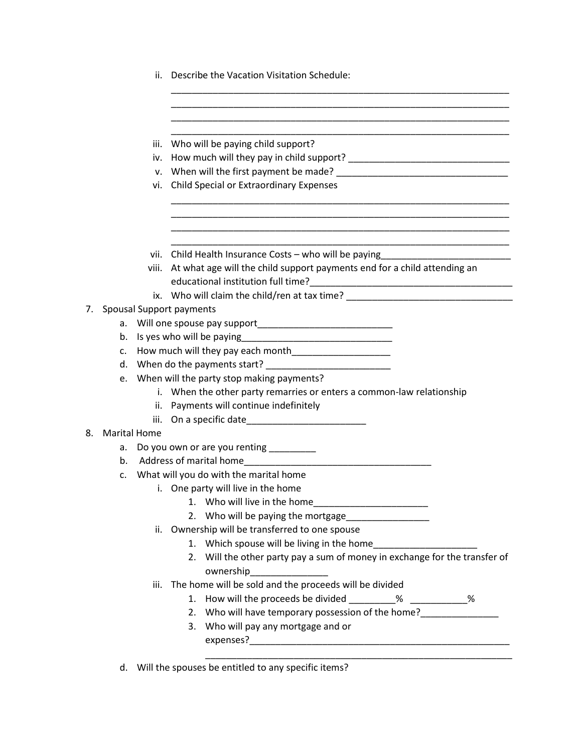| ii. Describe the Vacation Visitation Schedule: |  |  |
|------------------------------------------------|--|--|
|                                                |  |  |

\_\_\_\_\_\_\_\_\_\_\_\_\_\_\_\_\_\_\_\_\_\_\_\_\_\_\_\_\_\_\_\_\_\_\_\_\_\_\_\_\_\_\_\_\_\_\_\_\_\_\_\_\_\_\_\_\_\_\_\_\_\_\_\_\_

|                                                          |                     | iii. | Who will be paying child support?                                                                              |
|----------------------------------------------------------|---------------------|------|----------------------------------------------------------------------------------------------------------------|
|                                                          |                     | iv.  |                                                                                                                |
|                                                          |                     |      |                                                                                                                |
|                                                          |                     | vi.  | Child Special or Extraordinary Expenses                                                                        |
|                                                          |                     |      |                                                                                                                |
|                                                          |                     |      |                                                                                                                |
|                                                          |                     |      | vii. Child Health Insurance Costs - who will be paying                                                         |
|                                                          |                     |      | viii. At what age will the child support payments end for a child attending an                                 |
|                                                          |                     |      |                                                                                                                |
|                                                          |                     |      | ix. Who will claim the child/ren at tax time? __________________________________                               |
| 7.                                                       |                     |      | <b>Spousal Support payments</b>                                                                                |
|                                                          | а.                  |      |                                                                                                                |
|                                                          | b.                  |      |                                                                                                                |
|                                                          | c.                  |      |                                                                                                                |
|                                                          | d.                  |      |                                                                                                                |
|                                                          | e.                  |      | When will the party stop making payments?                                                                      |
|                                                          |                     |      | i. When the other party remarries or enters a common-law relationship                                          |
|                                                          |                     |      | ii. Payments will continue indefinitely                                                                        |
|                                                          |                     | iii. | On a specific date experience of the state of the state of the state of the state of the state of the state of |
| 8.                                                       | <b>Marital Home</b> |      |                                                                                                                |
|                                                          | a.                  |      | Do you own or are you renting _________                                                                        |
|                                                          | b.                  |      |                                                                                                                |
| What will you do with the marital home<br>$\mathsf{C}$ . |                     |      |                                                                                                                |
|                                                          |                     |      | i. One party will live in the home                                                                             |
|                                                          |                     |      |                                                                                                                |
|                                                          |                     |      | 2. Who will be paying the mortgage                                                                             |
|                                                          |                     |      | ii. Ownership will be transferred to one spouse                                                                |
|                                                          |                     |      | 1. Which spouse will be living in the home                                                                     |
|                                                          |                     |      | 2. Will the other party pay a sum of money in exchange for the transfer of                                     |
|                                                          |                     |      |                                                                                                                |
|                                                          |                     | iii. | The home will be sold and the proceeds will be divided                                                         |
|                                                          |                     |      | How will the proceeds be divided _________% ___________%<br>1.                                                 |
|                                                          |                     |      | 2. Who will have temporary possession of the home?                                                             |
|                                                          |                     |      | 3. Who will pay any mortgage and or                                                                            |
|                                                          |                     |      |                                                                                                                |
|                                                          |                     |      |                                                                                                                |

d. Will the spouses be entitled to any specific items?